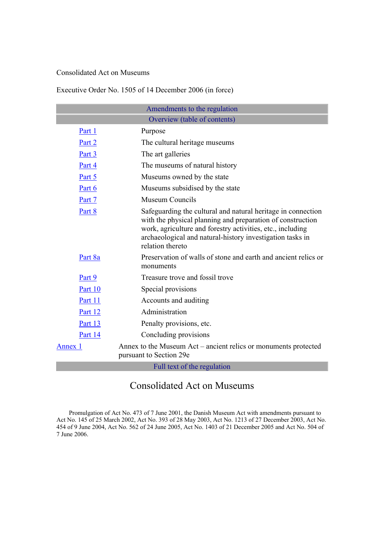#### Consolidated Act on Museums

## Executive Order No. 1505 of 14 December 2006 (in force)

| Amendments to the regulation |                                                                                                                                                                                                                                                                           |
|------------------------------|---------------------------------------------------------------------------------------------------------------------------------------------------------------------------------------------------------------------------------------------------------------------------|
| Overview (table of contents) |                                                                                                                                                                                                                                                                           |
| <u>Part 1</u>                | Purpose                                                                                                                                                                                                                                                                   |
| Part 2                       | The cultural heritage museums                                                                                                                                                                                                                                             |
| Part 3                       | The art galleries                                                                                                                                                                                                                                                         |
| Part 4                       | The museums of natural history                                                                                                                                                                                                                                            |
| Part 5                       | Museums owned by the state                                                                                                                                                                                                                                                |
| Part 6                       | Museums subsidised by the state                                                                                                                                                                                                                                           |
| Part 7                       | <b>Museum Councils</b>                                                                                                                                                                                                                                                    |
| Part 8                       | Safeguarding the cultural and natural heritage in connection<br>with the physical planning and preparation of construction<br>work, agriculture and forestry activities, etc., including<br>archaeological and natural-history investigation tasks in<br>relation thereto |
| Part 8a                      | Preservation of walls of stone and earth and ancient relics or<br>monuments                                                                                                                                                                                               |
| Part 9                       | Treasure trove and fossil trove                                                                                                                                                                                                                                           |
| Part 10                      | Special provisions                                                                                                                                                                                                                                                        |
| Part 11                      | Accounts and auditing                                                                                                                                                                                                                                                     |
| Part 12                      | Administration                                                                                                                                                                                                                                                            |
| Part 13                      | Penalty provisions, etc.                                                                                                                                                                                                                                                  |
| Part 14                      | Concluding provisions                                                                                                                                                                                                                                                     |
| Annex 1                      | Annex to the Museum Act – ancient relics or monuments protected<br>pursuant to Section 29e                                                                                                                                                                                |
| Full text of the regulation  |                                                                                                                                                                                                                                                                           |

# Consolidated Act on Museums

Promulgation of Act No. 473 of 7 June 2001, the Danish Museum Act with amendments pursuant to Act No. 145 of 25 March 2002, Act No. 393 of 28 May 2003, Act No. 1213 of 27 December 2003, Act No. 454 of 9 June 2004, Act No. 562 of 24 June 2005, Act No. 1403 of 21 December 2005 and Act No. 504 of 7 June 2006.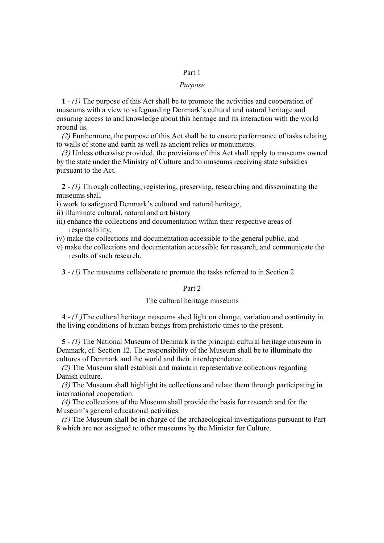#### Part 1

#### *Purpose*

**1** - *(1)* The purpose of this Act shall be to promote the activities and cooperation of museums with a view to safeguarding Denmark's cultural and natural heritage and ensuring access to and knowledge about this heritage and its interaction with the world around us.

*(2)* Furthermore, the purpose of this Act shall be to ensure performance of tasks relating to walls of stone and earth as well as ancient relics or monuments.

*(3)* Unless otherwise provided, the provisions of this Act shall apply to museums owned by the state under the Ministry of Culture and to museums receiving state subsidies pursuant to the Act.

**2** - *(1)* Through collecting, registering, preserving, researching and disseminating the museums shall

i) work to safeguard Denmark's cultural and natural heritage,

ii) illuminate cultural, natural and art history

iii) enhance the collections and documentation within their respective areas of responsibility,

iv) make the collections and documentation accessible to the general public, and

v) make the collections and documentation accessible for research, and communicate the results of such research.

**3** - *(1)* The museums collaborate to promote the tasks referred to in Section 2.

#### Part 2

#### The cultural heritage museums

**4** - *(1 )*The cultural heritage museums shed light on change, variation and continuity in the living conditions of human beings from prehistoric times to the present.

**5** - *(1)* The National Museum of Denmark is the principal cultural heritage museum in Denmark, cf. Section 12. The responsibility of the Museum shall be to illuminate the cultures of Denmark and the world and their interdependence.

*(2)* The Museum shall establish and maintain representative collections regarding Danish culture.

*(3)* The Museum shall highlight its collections and relate them through participating in international cooperation.

*(4)* The collections of the Museum shall provide the basis for research and for the Museum's general educational activities.

*(5)* The Museum shall be in charge of the archaeological investigations pursuant to Part 8 which are not assigned to other museums by the Minister for Culture.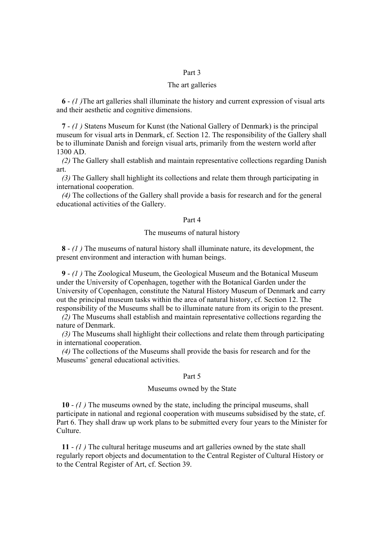#### Part 3

#### The art galleries

**6** - *(1 )*The art galleries shall illuminate the history and current expression of visual arts and their aesthetic and cognitive dimensions.

**7** - *(1 )* Statens Museum for Kunst (the National Gallery of Denmark) is the principal museum for visual arts in Denmark, cf. Section 12. The responsibility of the Gallery shall be to illuminate Danish and foreign visual arts, primarily from the western world after 1300 AD.

*(2)* The Gallery shall establish and maintain representative collections regarding Danish art.

*(3)* The Gallery shall highlight its collections and relate them through participating in international cooperation.

*(4)* The collections of the Gallery shall provide a basis for research and for the general educational activities of the Gallery.

#### Part 4

#### The museums of natural history

**8** - *(1 )* The museums of natural history shall illuminate nature, its development, the present environment and interaction with human beings.

**9** - *(1 )* The Zoological Museum, the Geological Museum and the Botanical Museum under the University of Copenhagen, together with the Botanical Garden under the University of Copenhagen, constitute the Natural History Museum of Denmark and carry out the principal museum tasks within the area of natural history, cf. Section 12. The responsibility of the Museums shall be to illuminate nature from its origin to the present.

*(2)* The Museums shall establish and maintain representative collections regarding the nature of Denmark.

*(3)* The Museums shall highlight their collections and relate them through participating in international cooperation.

*(4)* The collections of the Museums shall provide the basis for research and for the Museums' general educational activities.

#### Part 5

#### Museums owned by the State

**10** - *(1 )* The museums owned by the state, including the principal museums, shall participate in national and regional cooperation with museums subsidised by the state, cf. Part 6. They shall draw up work plans to be submitted every four years to the Minister for Culture.

**11** - *(1 )* The cultural heritage museums and art galleries owned by the state shall regularly report objects and documentation to the Central Register of Cultural History or to the Central Register of Art, cf. Section 39.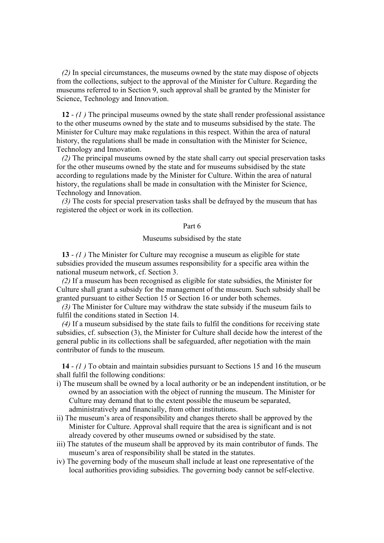*(2)* In special circumstances, the museums owned by the state may dispose of objects from the collections, subject to the approval of the Minister for Culture. Regarding the museums referred to in Section 9, such approval shall be granted by the Minister for Science, Technology and Innovation.

**12** - *(1 )* The principal museums owned by the state shall render professional assistance to the other museums owned by the state and to museums subsidised by the state. The Minister for Culture may make regulations in this respect. Within the area of natural history, the regulations shall be made in consultation with the Minister for Science, Technology and Innovation.

*(2)* The principal museums owned by the state shall carry out special preservation tasks for the other museums owned by the state and for museums subsidised by the state according to regulations made by the Minister for Culture. Within the area of natural history, the regulations shall be made in consultation with the Minister for Science, Technology and Innovation.

*(3)* The costs for special preservation tasks shall be defrayed by the museum that has registered the object or work in its collection.

#### Part 6

#### Museums subsidised by the state

**13** - *(1 )* The Minister for Culture may recognise a museum as eligible for state subsidies provided the museum assumes responsibility for a specific area within the national museum network, cf. Section 3.

*(2)* If a museum has been recognised as eligible for state subsidies, the Minister for Culture shall grant a subsidy for the management of the museum. Such subsidy shall be granted pursuant to either Section 15 or Section 16 or under both schemes.

*(3)* The Minister for Culture may withdraw the state subsidy if the museum fails to fulfil the conditions stated in Section 14.

*(4)* If a museum subsidised by the state fails to fulfil the conditions for receiving state subsidies, cf. subsection (3), the Minister for Culture shall decide how the interest of the general public in its collections shall be safeguarded, after negotiation with the main contributor of funds to the museum.

**14** - *(1 )* To obtain and maintain subsidies pursuant to Sections 15 and 16 the museum shall fulfil the following conditions:

- i) The museum shall be owned by a local authority or be an independent institution, or be owned by an association with the object of running the museum. The Minister for Culture may demand that to the extent possible the museum be separated, administratively and financially, from other institutions.
- ii) The museum's area of responsibility and changes thereto shall be approved by the Minister for Culture. Approval shall require that the area is significant and is not already covered by other museums owned or subsidised by the state.
- iii) The statutes of the museum shall be approved by its main contributor of funds. The museum's area of responsibility shall be stated in the statutes.
- iv) The governing body of the museum shall include at least one representative of the local authorities providing subsidies. The governing body cannot be self-elective.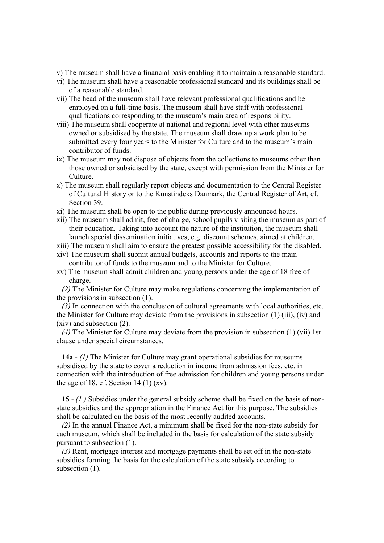v) The museum shall have a financial basis enabling it to maintain a reasonable standard.

- vi) The museum shall have a reasonable professional standard and its buildings shall be of a reasonable standard.
- vii) The head of the museum shall have relevant professional qualifications and be employed on a full-time basis. The museum shall have staff with professional qualifications corresponding to the museum's main area of responsibility.
- viii) The museum shall cooperate at national and regional level with other museums owned or subsidised by the state. The museum shall draw up a work plan to be submitted every four years to the Minister for Culture and to the museum's main contributor of funds.
- ix) The museum may not dispose of objects from the collections to museums other than those owned or subsidised by the state, except with permission from the Minister for Culture.
- x) The museum shall regularly report objects and documentation to the Central Register of Cultural History or to the Kunstindeks Danmark, the Central Register of Art, cf. Section 39.
- xi) The museum shall be open to the public during previously announced hours.
- xii) The museum shall admit, free of charge, school pupils visiting the museum as part of their education. Taking into account the nature of the institution, the museum shall launch special dissemination initiatives, e.g. discount schemes, aimed at children.
- xiii) The museum shall aim to ensure the greatest possible accessibility for the disabled.
- xiv) The museum shall submit annual budgets, accounts and reports to the main contributor of funds to the museum and to the Minister for Culture.
- xv) The museum shall admit children and young persons under the age of 18 free of charge.

*(2)* The Minister for Culture may make regulations concerning the implementation of the provisions in subsection (1).

*(3)* In connection with the conclusion of cultural agreements with local authorities, etc. the Minister for Culture may deviate from the provisions in subsection (1) (iii), (iv) and (xiv) and subsection (2).

*(4)* The Minister for Culture may deviate from the provision in subsection (1) (vii) 1st clause under special circumstances.

**14a** - *(1)* The Minister for Culture may grant operational subsidies for museums subsidised by the state to cover a reduction in income from admission fees, etc. in connection with the introduction of free admission for children and young persons under the age of 18, cf. Section 14 (1)  $(xv)$ .

**15** - *(1 )* Subsidies under the general subsidy scheme shall be fixed on the basis of nonstate subsidies and the appropriation in the Finance Act for this purpose. The subsidies shall be calculated on the basis of the most recently audited accounts.

*(2)* In the annual Finance Act, a minimum shall be fixed for the non-state subsidy for each museum, which shall be included in the basis for calculation of the state subsidy pursuant to subsection (1).

*(3)* Rent, mortgage interest and mortgage payments shall be set off in the non-state subsidies forming the basis for the calculation of the state subsidy according to subsection  $(1)$ .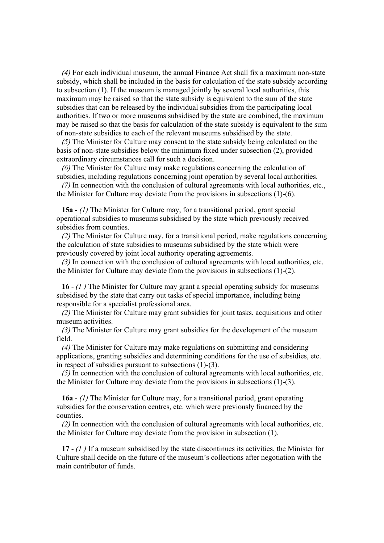*(4)* For each individual museum, the annual Finance Act shall fix a maximum non-state subsidy, which shall be included in the basis for calculation of the state subsidy according to subsection (1). If the museum is managed jointly by several local authorities, this maximum may be raised so that the state subsidy is equivalent to the sum of the state subsidies that can be released by the individual subsidies from the participating local authorities. If two or more museums subsidised by the state are combined, the maximum may be raised so that the basis for calculation of the state subsidy is equivalent to the sum of non-state subsidies to each of the relevant museums subsidised by the state.

*(5)* The Minister for Culture may consent to the state subsidy being calculated on the basis of non-state subsidies below the minimum fixed under subsection (2), provided extraordinary circumstances call for such a decision.

*(6)* The Minister for Culture may make regulations concerning the calculation of subsidies, including regulations concerning joint operation by several local authorities.

*(7)* In connection with the conclusion of cultural agreements with local authorities, etc., the Minister for Culture may deviate from the provisions in subsections (1)-(6).

**15a** - *(1)* The Minister for Culture may, for a transitional period, grant special operational subsidies to museums subsidised by the state which previously received subsidies from counties.

*(2)* The Minister for Culture may, for a transitional period, make regulations concerning the calculation of state subsidies to museums subsidised by the state which were previously covered by joint local authority operating agreements.

*(3)* In connection with the conclusion of cultural agreements with local authorities, etc. the Minister for Culture may deviate from the provisions in subsections (1)-(2).

**16** - *(1 )* The Minister for Culture may grant a special operating subsidy for museums subsidised by the state that carry out tasks of special importance, including being responsible for a specialist professional area.

*(2)* The Minister for Culture may grant subsidies for joint tasks, acquisitions and other museum activities.

*(3)* The Minister for Culture may grant subsidies for the development of the museum field.

*(4)* The Minister for Culture may make regulations on submitting and considering applications, granting subsidies and determining conditions for the use of subsidies, etc. in respect of subsidies pursuant to subsections (1)-(3).

*(5)* In connection with the conclusion of cultural agreements with local authorities, etc. the Minister for Culture may deviate from the provisions in subsections (1)-(3).

**16a** - *(1)* The Minister for Culture may, for a transitional period, grant operating subsidies for the conservation centres, etc. which were previously financed by the counties.

*(2)* In connection with the conclusion of cultural agreements with local authorities, etc. the Minister for Culture may deviate from the provision in subsection (1).

**17** - *(1 )* If a museum subsidised by the state discontinues its activities, the Minister for Culture shall decide on the future of the museum's collections after negotiation with the main contributor of funds.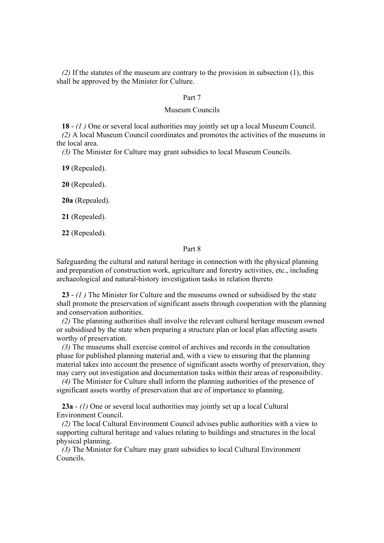*(2)* If the statutes of the museum are contrary to the provision in subsection (1), this shall be approved by the Minister for Culture.

#### Part 7

#### Museum Councils

**18** - *(1 )* One or several local authorities may jointly set up a local Museum Council.

*(2)* A local Museum Council coordinates and promotes the activities of the museums in the local area.

*(3)* The Minister for Culture may grant subsidies to local Museum Councils.

**19** (Repealed).

**20** (Repealed).

**20a** (Repealed).

**21** (Repealed).

**22** (Repealed).

#### Part 8

Safeguarding the cultural and natural heritage in connection with the physical planning and preparation of construction work, agriculture and forestry activities, etc., including archaeological and natural-history investigation tasks in relation thereto

**23** - *(1 )* The Minister for Culture and the museums owned or subsidised by the state shall promote the preservation of significant assets through cooperation with the planning and conservation authorities.

*(2)* The planning authorities shall involve the relevant cultural heritage museum owned or subsidised by the state when preparing a structure plan or local plan affecting assets worthy of preservation.

*(3)* The museums shall exercise control of archives and records in the consultation phase for published planning material and, with a view to ensuring that the planning material takes into account the presence of significant assets worthy of preservation, they may carry out investigation and documentation tasks within their areas of responsibility.

*(4)* The Minister for Culture shall inform the planning authorities of the presence of significant assets worthy of preservation that are of importance to planning.

**23a** - *(1)* One or several local authorities may jointly set up a local Cultural Environment Council.

*(2)* The local Cultural Environment Council advises public authorities with a view to supporting cultural heritage and values relating to buildings and structures in the local physical planning.

*(3)* The Minister for Culture may grant subsidies to local Cultural Environment Councils.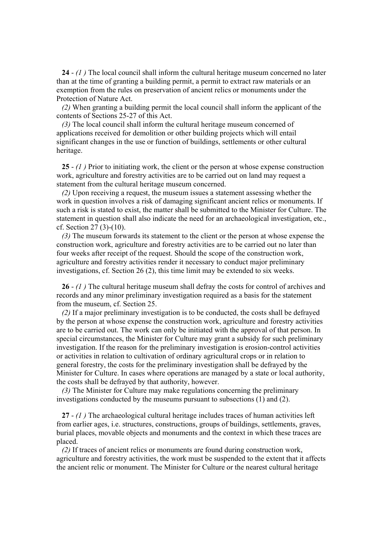**24** - *(1 )* The local council shall inform the cultural heritage museum concerned no later than at the time of granting a building permit, a permit to extract raw materials or an exemption from the rules on preservation of ancient relics or monuments under the Protection of Nature Act.

*(2)* When granting a building permit the local council shall inform the applicant of the contents of Sections 25-27 of this Act.

*(3)* The local council shall inform the cultural heritage museum concerned of applications received for demolition or other building projects which will entail significant changes in the use or function of buildings, settlements or other cultural heritage.

**25** - *(1 )* Prior to initiating work, the client or the person at whose expense construction work, agriculture and forestry activities are to be carried out on land may request a statement from the cultural heritage museum concerned.

*(2)* Upon receiving a request, the museum issues a statement assessing whether the work in question involves a risk of damaging significant ancient relics or monuments. If such a risk is stated to exist, the matter shall be submitted to the Minister for Culture. The statement in question shall also indicate the need for an archaeological investigation, etc., cf. Section 27 (3)-(10).

*(3)* The museum forwards its statement to the client or the person at whose expense the construction work, agriculture and forestry activities are to be carried out no later than four weeks after receipt of the request. Should the scope of the construction work, agriculture and forestry activities render it necessary to conduct major preliminary investigations, cf. Section 26 (2), this time limit may be extended to six weeks.

**26** - *(1 )* The cultural heritage museum shall defray the costs for control of archives and records and any minor preliminary investigation required as a basis for the statement from the museum, cf. Section 25.

*(2)* If a major preliminary investigation is to be conducted, the costs shall be defrayed by the person at whose expense the construction work, agriculture and forestry activities are to be carried out. The work can only be initiated with the approval of that person. In special circumstances, the Minister for Culture may grant a subsidy for such preliminary investigation. If the reason for the preliminary investigation is erosion-control activities or activities in relation to cultivation of ordinary agricultural crops or in relation to general forestry, the costs for the preliminary investigation shall be defrayed by the Minister for Culture. In cases where operations are managed by a state or local authority, the costs shall be defrayed by that authority, however.

*(3)* The Minister for Culture may make regulations concerning the preliminary investigations conducted by the museums pursuant to subsections (1) and (2).

**27** - *(1 )* The archaeological cultural heritage includes traces of human activities left from earlier ages, i.e. structures, constructions, groups of buildings, settlements, graves, burial places, movable objects and monuments and the context in which these traces are placed.

*(2)* If traces of ancient relics or monuments are found during construction work, agriculture and forestry activities, the work must be suspended to the extent that it affects the ancient relic or monument. The Minister for Culture or the nearest cultural heritage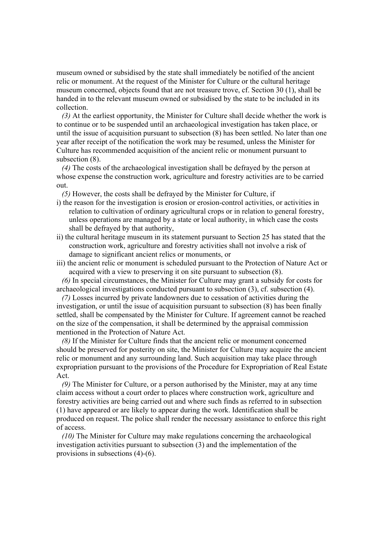museum owned or subsidised by the state shall immediately be notified of the ancient relic or monument. At the request of the Minister for Culture or the cultural heritage museum concerned, objects found that are not treasure trove, cf. Section 30 (1), shall be handed in to the relevant museum owned or subsidised by the state to be included in its collection.

*(3)* At the earliest opportunity, the Minister for Culture shall decide whether the work is to continue or to be suspended until an archaeological investigation has taken place, or until the issue of acquisition pursuant to subsection (8) has been settled. No later than one year after receipt of the notification the work may be resumed, unless the Minister for Culture has recommended acquisition of the ancient relic or monument pursuant to subsection (8).

*(4)* The costs of the archaeological investigation shall be defrayed by the person at whose expense the construction work, agriculture and forestry activities are to be carried out.

*(5)* However, the costs shall be defrayed by the Minister for Culture, if

- i) the reason for the investigation is erosion or erosion-control activities, or activities in relation to cultivation of ordinary agricultural crops or in relation to general forestry, unless operations are managed by a state or local authority, in which case the costs shall be defrayed by that authority,
- ii) the cultural heritage museum in its statement pursuant to Section 25 has stated that the construction work, agriculture and forestry activities shall not involve a risk of damage to significant ancient relics or monuments, or
- iii) the ancient relic or monument is scheduled pursuant to the Protection of Nature Act or acquired with a view to preserving it on site pursuant to subsection (8).

*(6)* In special circumstances, the Minister for Culture may grant a subsidy for costs for archaeological investigations conducted pursuant to subsection (3), cf. subsection (4).

*(7)* Losses incurred by private landowners due to cessation of activities during the investigation, or until the issue of acquisition pursuant to subsection (8) has been finally settled, shall be compensated by the Minister for Culture. If agreement cannot be reached on the size of the compensation, it shall be determined by the appraisal commission mentioned in the Protection of Nature Act.

*(8)* If the Minister for Culture finds that the ancient relic or monument concerned should be preserved for posterity on site, the Minister for Culture may acquire the ancient relic or monument and any surrounding land. Such acquisition may take place through expropriation pursuant to the provisions of the Procedure for Expropriation of Real Estate Act.

*(9)* The Minister for Culture, or a person authorised by the Minister, may at any time claim access without a court order to places where construction work, agriculture and forestry activities are being carried out and where such finds as referred to in subsection (1) have appeared or are likely to appear during the work. Identification shall be produced on request. The police shall render the necessary assistance to enforce this right of access.

*(10)* The Minister for Culture may make regulations concerning the archaeological investigation activities pursuant to subsection (3) and the implementation of the provisions in subsections (4)-(6).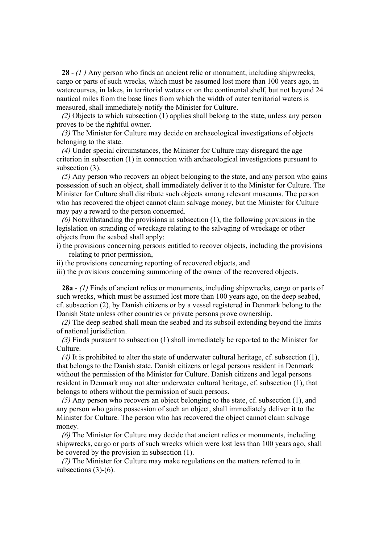**28** - *(1 )* Any person who finds an ancient relic or monument, including shipwrecks, cargo or parts of such wrecks, which must be assumed lost more than 100 years ago, in watercourses, in lakes, in territorial waters or on the continental shelf, but not beyond 24 nautical miles from the base lines from which the width of outer territorial waters is measured, shall immediately notify the Minister for Culture.

*(2)* Objects to which subsection (1) applies shall belong to the state, unless any person proves to be the rightful owner.

*(3)* The Minister for Culture may decide on archaeological investigations of objects belonging to the state.

*(4)* Under special circumstances, the Minister for Culture may disregard the age criterion in subsection (1) in connection with archaeological investigations pursuant to subsection  $(3)$ .

*(5)* Any person who recovers an object belonging to the state, and any person who gains possession of such an object, shall immediately deliver it to the Minister for Culture. The Minister for Culture shall distribute such objects among relevant museums. The person who has recovered the object cannot claim salvage money, but the Minister for Culture may pay a reward to the person concerned.

*(6)* Notwithstanding the provisions in subsection (1), the following provisions in the legislation on stranding of wreckage relating to the salvaging of wreckage or other objects from the seabed shall apply:

i) the provisions concerning persons entitled to recover objects, including the provisions relating to prior permission,

ii) the provisions concerning reporting of recovered objects, and

iii) the provisions concerning summoning of the owner of the recovered objects.

**28a** - *(1)* Finds of ancient relics or monuments, including shipwrecks, cargo or parts of such wrecks, which must be assumed lost more than 100 years ago, on the deep seabed, cf. subsection (2), by Danish citizens or by a vessel registered in Denmark belong to the Danish State unless other countries or private persons prove ownership.

*(2)* The deep seabed shall mean the seabed and its subsoil extending beyond the limits of national jurisdiction.

*(3)* Finds pursuant to subsection (1) shall immediately be reported to the Minister for Culture.

*(4)* It is prohibited to alter the state of underwater cultural heritage, cf. subsection (1), that belongs to the Danish state, Danish citizens or legal persons resident in Denmark without the permission of the Minister for Culture. Danish citizens and legal persons resident in Denmark may not alter underwater cultural heritage, cf. subsection (1), that belongs to others without the permission of such persons.

*(5)* Any person who recovers an object belonging to the state, cf. subsection (1), and any person who gains possession of such an object, shall immediately deliver it to the Minister for Culture. The person who has recovered the object cannot claim salvage money.

*(6)* The Minister for Culture may decide that ancient relics or monuments, including shipwrecks, cargo or parts of such wrecks which were lost less than 100 years ago, shall be covered by the provision in subsection (1).

*(7)* The Minister for Culture may make regulations on the matters referred to in subsections (3)-(6).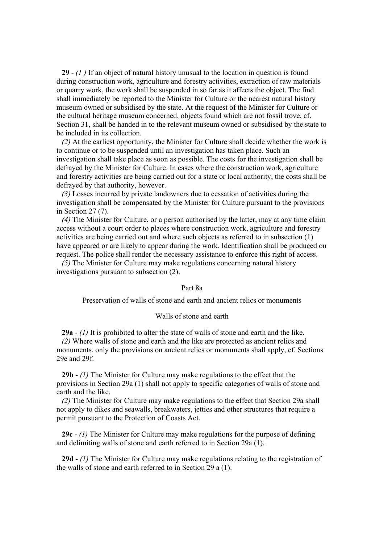**29** - *(1 )* If an object of natural history unusual to the location in question is found during construction work, agriculture and forestry activities, extraction of raw materials or quarry work, the work shall be suspended in so far as it affects the object. The find shall immediately be reported to the Minister for Culture or the nearest natural history museum owned or subsidised by the state. At the request of the Minister for Culture or the cultural heritage museum concerned, objects found which are not fossil trove, cf. Section 31, shall be handed in to the relevant museum owned or subsidised by the state to be included in its collection.

*(2)* At the earliest opportunity, the Minister for Culture shall decide whether the work is to continue or to be suspended until an investigation has taken place. Such an investigation shall take place as soon as possible. The costs for the investigation shall be defrayed by the Minister for Culture. In cases where the construction work, agriculture and forestry activities are being carried out for a state or local authority, the costs shall be defrayed by that authority, however.

*(3)* Losses incurred by private landowners due to cessation of activities during the investigation shall be compensated by the Minister for Culture pursuant to the provisions in Section 27 (7).

*(4)* The Minister for Culture, or a person authorised by the latter, may at any time claim access without a court order to places where construction work, agriculture and forestry activities are being carried out and where such objects as referred to in subsection (1) have appeared or are likely to appear during the work. Identification shall be produced on request. The police shall render the necessary assistance to enforce this right of access.

*(5)* The Minister for Culture may make regulations concerning natural history investigations pursuant to subsection (2).

#### Part 8a

Preservation of walls of stone and earth and ancient relics or monuments

#### Walls of stone and earth

**29a** - *(1)* It is prohibited to alter the state of walls of stone and earth and the like.

*(2)* Where walls of stone and earth and the like are protected as ancient relics and monuments, only the provisions on ancient relics or monuments shall apply, cf. Sections 29e and 29f.

**29b** - *(1)* The Minister for Culture may make regulations to the effect that the provisions in Section 29a (1) shall not apply to specific categories of walls of stone and earth and the like.

*(2)* The Minister for Culture may make regulations to the effect that Section 29a shall not apply to dikes and seawalls, breakwaters, jetties and other structures that require a permit pursuant to the Protection of Coasts Act.

**29c** - *(1)* The Minister for Culture may make regulations for the purpose of defining and delimiting walls of stone and earth referred to in Section 29a (1).

**29d** - *(1)* The Minister for Culture may make regulations relating to the registration of the walls of stone and earth referred to in Section 29 a (1).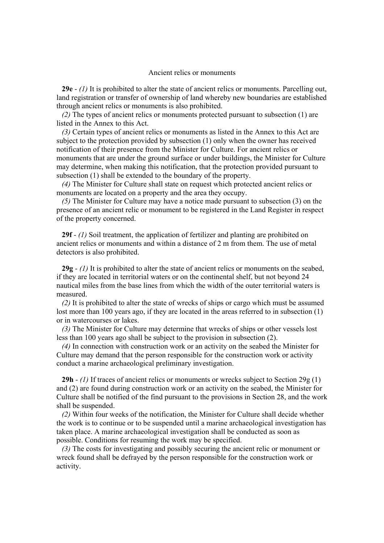#### Ancient relics or monuments

**29e** - *(1)* It is prohibited to alter the state of ancient relics or monuments. Parcelling out, land registration or transfer of ownership of land whereby new boundaries are established through ancient relics or monuments is also prohibited.

*(2)* The types of ancient relics or monuments protected pursuant to subsection (1) are listed in the Annex to this Act.

*(3)* Certain types of ancient relics or monuments as listed in the Annex to this Act are subject to the protection provided by subsection (1) only when the owner has received notification of their presence from the Minister for Culture. For ancient relics or monuments that are under the ground surface or under buildings, the Minister for Culture may determine, when making this notification, that the protection provided pursuant to subsection (1) shall be extended to the boundary of the property.

*(4)* The Minister for Culture shall state on request which protected ancient relics or monuments are located on a property and the area they occupy.

*(5)* The Minister for Culture may have a notice made pursuant to subsection (3) on the presence of an ancient relic or monument to be registered in the Land Register in respect of the property concerned.

**29f** - *(1)* Soil treatment, the application of fertilizer and planting are prohibited on ancient relics or monuments and within a distance of 2 m from them. The use of metal detectors is also prohibited.

**29g** - *(1)* It is prohibited to alter the state of ancient relics or monuments on the seabed, if they are located in territorial waters or on the continental shelf, but not beyond 24 nautical miles from the base lines from which the width of the outer territorial waters is measured.

*(2)* It is prohibited to alter the state of wrecks of ships or cargo which must be assumed lost more than 100 years ago, if they are located in the areas referred to in subsection (1) or in watercourses or lakes.

*(3)* The Minister for Culture may determine that wrecks of ships or other vessels lost less than 100 years ago shall be subject to the provision in subsection (2).

*(4)* In connection with construction work or an activity on the seabed the Minister for Culture may demand that the person responsible for the construction work or activity conduct a marine archaeological preliminary investigation.

**29h** - *(1)* If traces of ancient relics or monuments or wrecks subject to Section 29g (1) and (2) are found during construction work or an activity on the seabed, the Minister for Culture shall be notified of the find pursuant to the provisions in Section 28, and the work shall be suspended.

*(2)* Within four weeks of the notification, the Minister for Culture shall decide whether the work is to continue or to be suspended until a marine archaeological investigation has taken place. A marine archaeological investigation shall be conducted as soon as possible. Conditions for resuming the work may be specified.

*(3)* The costs for investigating and possibly securing the ancient relic or monument or wreck found shall be defrayed by the person responsible for the construction work or activity.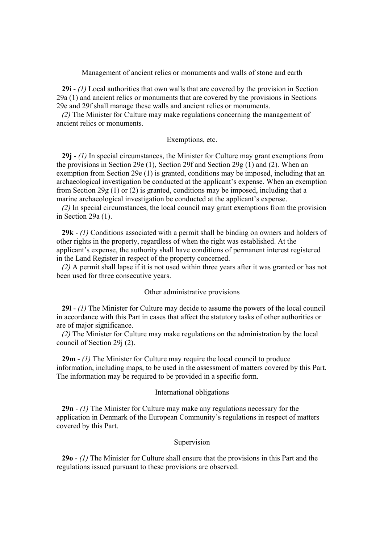Management of ancient relics or monuments and walls of stone and earth

**29i** - *(1)* Local authorities that own walls that are covered by the provision in Section 29a (1) and ancient relics or monuments that are covered by the provisions in Sections 29e and 29f shall manage these walls and ancient relics or monuments.

*(2)* The Minister for Culture may make regulations concerning the management of ancient relics or monuments.

#### Exemptions, etc.

**29j** - *(1)* In special circumstances, the Minister for Culture may grant exemptions from the provisions in Section 29e (1), Section 29f and Section 29g (1) and (2). When an exemption from Section 29e (1) is granted, conditions may be imposed, including that an archaeological investigation be conducted at the applicant's expense. When an exemption from Section 29g (1) or (2) is granted, conditions may be imposed, including that a marine archaeological investigation be conducted at the applicant's expense.

*(2)* In special circumstances, the local council may grant exemptions from the provision in Section 29a (1).

**29k** - *(1)* Conditions associated with a permit shall be binding on owners and holders of other rights in the property, regardless of when the right was established. At the applicant's expense, the authority shall have conditions of permanent interest registered in the Land Register in respect of the property concerned.

*(2)* A permit shall lapse if it is not used within three years after it was granted or has not been used for three consecutive years.

#### Other administrative provisions

**29l** - *(1)* The Minister for Culture may decide to assume the powers of the local council in accordance with this Part in cases that affect the statutory tasks of other authorities or are of major significance.

*(2)* The Minister for Culture may make regulations on the administration by the local council of Section 29j (2).

**29m** - *(1)* The Minister for Culture may require the local council to produce information, including maps, to be used in the assessment of matters covered by this Part. The information may be required to be provided in a specific form.

#### International obligations

**29n** - *(1)* The Minister for Culture may make any regulations necessary for the application in Denmark of the European Community's regulations in respect of matters covered by this Part.

#### Supervision

**29o** - *(1)* The Minister for Culture shall ensure that the provisions in this Part and the regulations issued pursuant to these provisions are observed.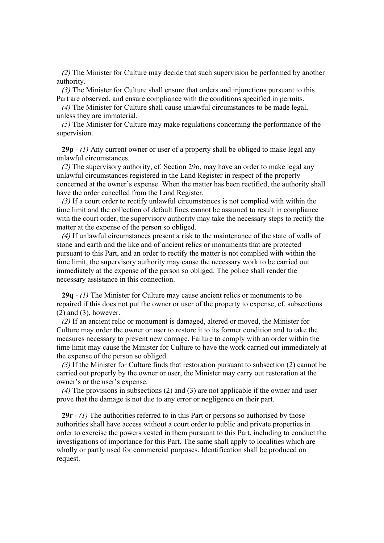*(2)* The Minister for Culture may decide that such supervision be performed by another authority.

*(3)* The Minister for Culture shall ensure that orders and injunctions pursuant to this Part are observed, and ensure compliance with the conditions specified in permits.

*(4)* The Minister for Culture shall cause unlawful circumstances to be made legal, unless they are immaterial.

*(5)* The Minister for Culture may make regulations concerning the performance of the supervision.

**29p** - *(1)* Any current owner or user of a property shall be obliged to make legal any unlawful circumstances.

*(2)* The supervisory authority, cf. Section 29o, may have an order to make legal any unlawful circumstances registered in the Land Register in respect of the property concerned at the owner's expense. When the matter has been rectified, the authority shall have the order cancelled from the Land Register.

*(3)* If a court order to rectify unlawful circumstances is not complied with within the time limit and the collection of default fines cannot be assumed to result in compliance with the court order, the supervisory authority may take the necessary steps to rectify the matter at the expense of the person so obliged.

*(4)* If unlawful circumstances present a risk to the maintenance of the state of walls of stone and earth and the like and of ancient relics or monuments that are protected pursuant to this Part, and an order to rectify the matter is not complied with within the time limit, the supervisory authority may cause the necessary work to be carried out immediately at the expense of the person so obliged. The police shall render the necessary assistance in this connection.

**29q** - *(1)* The Minister for Culture may cause ancient relics or monuments to be repaired if this does not put the owner or user of the property to expense, cf. subsections  $(2)$  and  $(3)$ , however.

*(2)* If an ancient relic or monument is damaged, altered or moved, the Minister for Culture may order the owner or user to restore it to its former condition and to take the measures necessary to prevent new damage. Failure to comply with an order within the time limit may cause the Minister for Culture to have the work carried out immediately at the expense of the person so obliged.

*(3)* If the Minister for Culture finds that restoration pursuant to subsection (2) cannot be carried out properly by the owner or user, the Minister may carry out restoration at the owner's or the user's expense.

*(4)* The provisions in subsections (2) and (3) are not applicable if the owner and user prove that the damage is not due to any error or negligence on their part.

**29r** - *(1)* The authorities referred to in this Part or persons so authorised by those authorities shall have access without a court order to public and private properties in order to exercise the powers vested in them pursuant to this Part, including to conduct the investigations of importance for this Part. The same shall apply to localities which are wholly or partly used for commercial purposes. Identification shall be produced on request.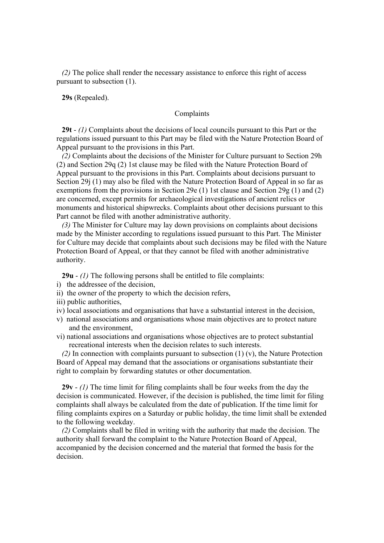*(2)* The police shall render the necessary assistance to enforce this right of access pursuant to subsection (1).

**29s** (Repealed).

#### Complaints

**29t** - *(1)* Complaints about the decisions of local councils pursuant to this Part or the regulations issued pursuant to this Part may be filed with the Nature Protection Board of Appeal pursuant to the provisions in this Part.

*(2)* Complaints about the decisions of the Minister for Culture pursuant to Section 29h (2) and Section 29q (2) 1st clause may be filed with the Nature Protection Board of Appeal pursuant to the provisions in this Part. Complaints about decisions pursuant to Section 29j (1) may also be filed with the Nature Protection Board of Appeal in so far as exemptions from the provisions in Section 29e (1) 1st clause and Section 29g (1) and (2) are concerned, except permits for archaeological investigations of ancient relics or monuments and historical shipwrecks. Complaints about other decisions pursuant to this Part cannot be filed with another administrative authority.

*(3)* The Minister for Culture may lay down provisions on complaints about decisions made by the Minister according to regulations issued pursuant to this Part. The Minister for Culture may decide that complaints about such decisions may be filed with the Nature Protection Board of Appeal, or that they cannot be filed with another administrative authority.

**29u** - *(1)* The following persons shall be entitled to file complaints:

- i) the addressee of the decision,
- ii) the owner of the property to which the decision refers,
- iii) public authorities,
- iv) local associations and organisations that have a substantial interest in the decision,
- v) national associations and organisations whose main objectives are to protect nature and the environment,
- vi) national associations and organisations whose objectives are to protect substantial recreational interests when the decision relates to such interests.

*(2)* In connection with complaints pursuant to subsection (1) (v), the Nature Protection Board of Appeal may demand that the associations or organisations substantiate their right to complain by forwarding statutes or other documentation.

**29v** - *(1)* The time limit for filing complaints shall be four weeks from the day the decision is communicated. However, if the decision is published, the time limit for filing complaints shall always be calculated from the date of publication. If the time limit for filing complaints expires on a Saturday or public holiday, the time limit shall be extended to the following weekday.

*(2)* Complaints shall be filed in writing with the authority that made the decision. The authority shall forward the complaint to the Nature Protection Board of Appeal, accompanied by the decision concerned and the material that formed the basis for the decision.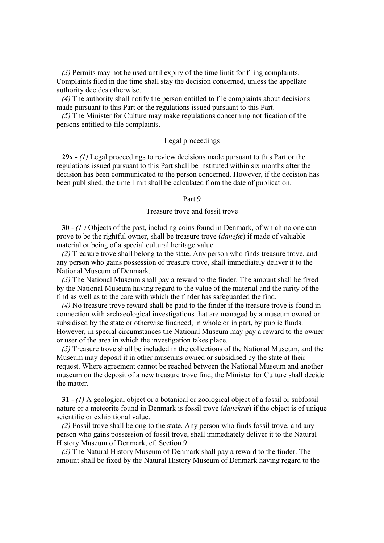*(3)* Permits may not be used until expiry of the time limit for filing complaints. Complaints filed in due time shall stay the decision concerned, unless the appellate authority decides otherwise.

*(4)* The authority shall notify the person entitled to file complaints about decisions made pursuant to this Part or the regulations issued pursuant to this Part.

*(5)* The Minister for Culture may make regulations concerning notification of the persons entitled to file complaints.

#### Legal proceedings

**29x** - *(1)* Legal proceedings to review decisions made pursuant to this Part or the regulations issued pursuant to this Part shall be instituted within six months after the decision has been communicated to the person concerned. However, if the decision has been published, the time limit shall be calculated from the date of publication.

#### Part 9

#### Treasure trove and fossil trove

**30** - *(1 )* Objects of the past, including coins found in Denmark, of which no one can prove to be the rightful owner, shall be treasure trove (*danefæ*) if made of valuable material or being of a special cultural heritage value.

*(2)* Treasure trove shall belong to the state. Any person who finds treasure trove, and any person who gains possession of treasure trove, shall immediately deliver it to the National Museum of Denmark.

*(3)* The National Museum shall pay a reward to the finder. The amount shall be fixed by the National Museum having regard to the value of the material and the rarity of the find as well as to the care with which the finder has safeguarded the find.

*(4)* No treasure trove reward shall be paid to the finder if the treasure trove is found in connection with archaeological investigations that are managed by a museum owned or subsidised by the state or otherwise financed, in whole or in part, by public funds. However, in special circumstances the National Museum may pay a reward to the owner or user of the area in which the investigation takes place.

*(5)* Treasure trove shall be included in the collections of the National Museum, and the Museum may deposit it in other museums owned or subsidised by the state at their request. Where agreement cannot be reached between the National Museum and another museum on the deposit of a new treasure trove find, the Minister for Culture shall decide the matter.

**31** - *(1)* A geological object or a botanical or zoological object of a fossil or subfossil nature or a meteorite found in Denmark is fossil trove (*danekræ*) if the object is of unique scientific or exhibitional value.

*(2)* Fossil trove shall belong to the state. Any person who finds fossil trove, and any person who gains possession of fossil trove, shall immediately deliver it to the Natural History Museum of Denmark, cf. Section 9.

*(3)* The Natural History Museum of Denmark shall pay a reward to the finder. The amount shall be fixed by the Natural History Museum of Denmark having regard to the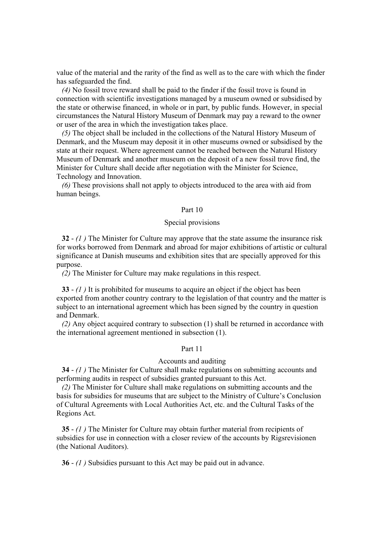value of the material and the rarity of the find as well as to the care with which the finder has safeguarded the find.

*(4)* No fossil trove reward shall be paid to the finder if the fossil trove is found in connection with scientific investigations managed by a museum owned or subsidised by the state or otherwise financed, in whole or in part, by public funds. However, in special circumstances the Natural History Museum of Denmark may pay a reward to the owner or user of the area in which the investigation takes place.

*(5)* The object shall be included in the collections of the Natural History Museum of Denmark, and the Museum may deposit it in other museums owned or subsidised by the state at their request. Where agreement cannot be reached between the Natural History Museum of Denmark and another museum on the deposit of a new fossil trove find, the Minister for Culture shall decide after negotiation with the Minister for Science, Technology and Innovation.

*(6)* These provisions shall not apply to objects introduced to the area with aid from human beings.

#### Part 10

#### Special provisions

**32** - *(1 )* The Minister for Culture may approve that the state assume the insurance risk for works borrowed from Denmark and abroad for major exhibitions of artistic or cultural significance at Danish museums and exhibition sites that are specially approved for this purpose.

*(2)* The Minister for Culture may make regulations in this respect.

**33** - *(1 )* It is prohibited for museums to acquire an object if the object has been exported from another country contrary to the legislation of that country and the matter is subject to an international agreement which has been signed by the country in question and Denmark.

*(2)* Any object acquired contrary to subsection (1) shall be returned in accordance with the international agreement mentioned in subsection (1).

#### Part 11

#### Accounts and auditing

**34** - *(1 )* The Minister for Culture shall make regulations on submitting accounts and performing audits in respect of subsidies granted pursuant to this Act.

*(2)* The Minister for Culture shall make regulations on submitting accounts and the basis for subsidies for museums that are subject to the Ministry of Culture's Conclusion of Cultural Agreements with Local Authorities Act, etc. and the Cultural Tasks of the Regions Act.

**35** - *(1 )* The Minister for Culture may obtain further material from recipients of subsidies for use in connection with a closer review of the accounts by Rigsrevisionen (the National Auditors).

**36** - *(1 )* Subsidies pursuant to this Act may be paid out in advance.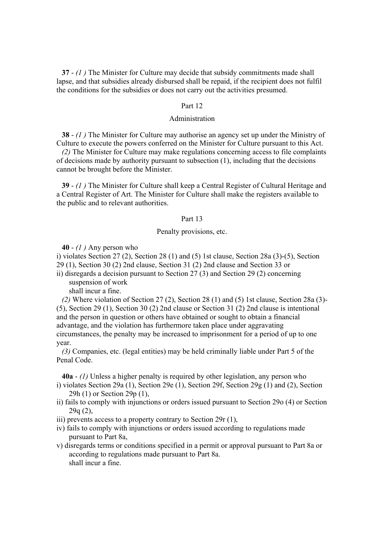**37** - *(1 )* The Minister for Culture may decide that subsidy commitments made shall lapse, and that subsidies already disbursed shall be repaid, if the recipient does not fulfil the conditions for the subsidies or does not carry out the activities presumed.

#### Part 12

#### Administration

**38** - *(1 )* The Minister for Culture may authorise an agency set up under the Ministry of Culture to execute the powers conferred on the Minister for Culture pursuant to this Act.

*(2)* The Minister for Culture may make regulations concerning access to file complaints of decisions made by authority pursuant to subsection (1), including that the decisions cannot be brought before the Minister.

**39** - *(1 )* The Minister for Culture shall keep a Central Register of Cultural Heritage and a Central Register of Art. The Minister for Culture shall make the registers available to the public and to relevant authorities.

#### Part 13

#### Penalty provisions, etc.

**40** - *(1 )* Any person who

i) violates Section 27 (2), Section 28 (1) and (5) 1st clause, Section 28a (3)-(5), Section 29 (1), Section 30 (2) 2nd clause, Section 31 (2) 2nd clause and Section 33 or

ii) disregards a decision pursuant to Section 27 (3) and Section 29 (2) concerning suspension of work

shall incur a fine.

*(2)* Where violation of Section 27 (2), Section 28 (1) and (5) 1st clause, Section 28a (3)- (5), Section 29 (1), Section 30 (2) 2nd clause or Section 31 (2) 2nd clause is intentional and the person in question or others have obtained or sought to obtain a financial advantage, and the violation has furthermore taken place under aggravating circumstances, the penalty may be increased to imprisonment for a period of up to one year.

*(3)* Companies, etc. (legal entities) may be held criminally liable under Part 5 of the Penal Code.

**40a** - *(1)* Unless a higher penalty is required by other legislation, any person who i) violates Section 29a (1), Section 29e (1), Section 29f, Section 29g (1) and (2), Section

- 29h (1) or Section 29p (1),
- ii) fails to comply with injunctions or orders issued pursuant to Section 29o (4) or Section  $29q(2)$ ,
- iii) prevents access to a property contrary to Section 29r (1),
- iv) fails to comply with injunctions or orders issued according to regulations made pursuant to Part 8a,
- v) disregards terms or conditions specified in a permit or approval pursuant to Part 8a or according to regulations made pursuant to Part 8a. shall incur a fine.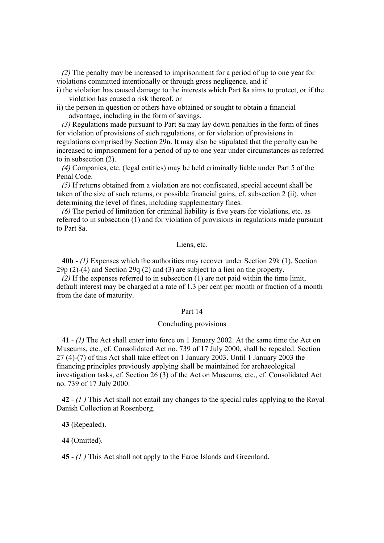*(2)* The penalty may be increased to imprisonment for a period of up to one year for violations committed intentionally or through gross negligence, and if

- i) the violation has caused damage to the interests which Part 8a aims to protect, or if the violation has caused a risk thereof, or
- ii) the person in question or others have obtained or sought to obtain a financial advantage, including in the form of savings.

*(3)* Regulations made pursuant to Part 8a may lay down penalties in the form of fines for violation of provisions of such regulations, or for violation of provisions in regulations comprised by Section 29n. It may also be stipulated that the penalty can be increased to imprisonment for a period of up to one year under circumstances as referred to in subsection (2).

*(4)* Companies, etc. (legal entities) may be held criminally liable under Part 5 of the Penal Code.

*(5)* If returns obtained from a violation are not confiscated, special account shall be taken of the size of such returns, or possible financial gains, cf. subsection 2 (ii), when determining the level of fines, including supplementary fines.

*(6)* The period of limitation for criminal liability is five years for violations, etc. as referred to in subsection (1) and for violation of provisions in regulations made pursuant to Part 8a.

#### Liens, etc.

**40b** - *(1)* Expenses which the authorities may recover under Section 29k (1), Section 29p (2)-(4) and Section 29q (2) and (3) are subject to a lien on the property.

*(2)* If the expenses referred to in subsection (1) are not paid within the time limit, default interest may be charged at a rate of 1.3 per cent per month or fraction of a month from the date of maturity.

#### Part 14

#### Concluding provisions

**41** - *(1)* The Act shall enter into force on 1 January 2002. At the same time the Act on Museums, etc., cf. Consolidated Act no. 739 of 17 July 2000, shall be repealed. Section 27 (4)-(7) of this Act shall take effect on 1 January 2003. Until 1 January 2003 the financing principles previously applying shall be maintained for archaeological investigation tasks, cf. Section 26 (3) of the Act on Museums, etc., cf. Consolidated Act no. 739 of 17 July 2000.

**42** - *(1 )* This Act shall not entail any changes to the special rules applying to the Royal Danish Collection at Rosenborg.

**43** (Repealed).

**44** (Omitted).

**45** - *(1 )* This Act shall not apply to the Faroe Islands and Greenland.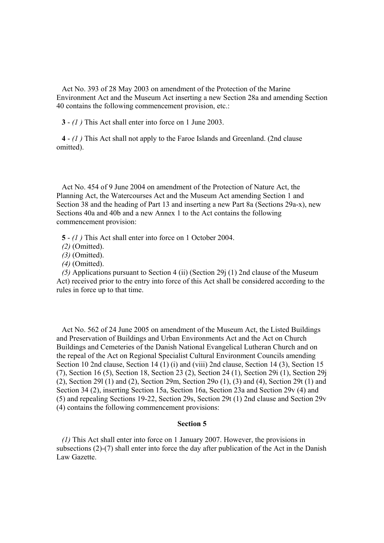Act No. 393 of 28 May 2003 on amendment of the Protection of the Marine Environment Act and the Museum Act inserting a new Section 28a and amending Section 40 contains the following commencement provision, etc.:

**3** - *(1 )* This Act shall enter into force on 1 June 2003.

**4** - *(1 )* This Act shall not apply to the Faroe Islands and Greenland. (2nd clause omitted).

Act No. 454 of 9 June 2004 on amendment of the Protection of Nature Act, the Planning Act, the Watercourses Act and the Museum Act amending Section 1 and Section 38 and the heading of Part 13 and inserting a new Part 8a (Sections 29a-x), new Sections 40a and 40b and a new Annex 1 to the Act contains the following commencement provision:

**5** - *(1 )* This Act shall enter into force on 1 October 2004.

- *(2)* (Omitted).
- *(3)* (Omitted).
- *(4)* (Omitted).

*(5)* Applications pursuant to Section 4 (ii) (Section 29j (1) 2nd clause of the Museum Act) received prior to the entry into force of this Act shall be considered according to the rules in force up to that time.

Act No. 562 of 24 June 2005 on amendment of the Museum Act, the Listed Buildings and Preservation of Buildings and Urban Environments Act and the Act on Church Buildings and Cemeteries of the Danish National Evangelical Lutheran Church and on the repeal of the Act on Regional Specialist Cultural Environment Councils amending Section 10 2nd clause, Section 14 (1) (i) and (viii) 2nd clause, Section 14 (3), Section 15 (7), Section 16 (5), Section 18, Section 23 (2), Section 24 (1), Section 29i (1), Section 29j (2), Section 29l (1) and (2), Section 29m, Section 29o (1), (3) and (4), Section 29t (1) and Section 34 (2), inserting Section 15a, Section 16a, Section 23a and Section 29v (4) and (5) and repealing Sections 19-22, Section 29s, Section 29t (1) 2nd clause and Section 29v (4) contains the following commencement provisions:

#### **Section 5**

*(1)* This Act shall enter into force on 1 January 2007. However, the provisions in subsections (2)-(7) shall enter into force the day after publication of the Act in the Danish Law Gazette.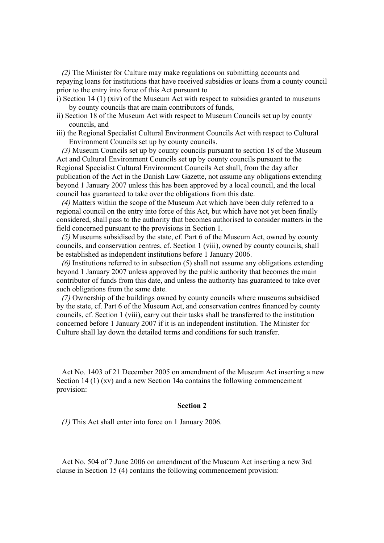*(2)* The Minister for Culture may make regulations on submitting accounts and repaying loans for institutions that have received subsidies or loans from a county council prior to the entry into force of this Act pursuant to

- i) Section 14 (1) (xiv) of the Museum Act with respect to subsidies granted to museums by county councils that are main contributors of funds,
- ii) Section 18 of the Museum Act with respect to Museum Councils set up by county councils, and
- iii) the Regional Specialist Cultural Environment Councils Act with respect to Cultural Environment Councils set up by county councils.

*(3)* Museum Councils set up by county councils pursuant to section 18 of the Museum Act and Cultural Environment Councils set up by county councils pursuant to the Regional Specialist Cultural Environment Councils Act shall, from the day after publication of the Act in the Danish Law Gazette, not assume any obligations extending beyond 1 January 2007 unless this has been approved by a local council, and the local council has guaranteed to take over the obligations from this date.

*(4)* Matters within the scope of the Museum Act which have been duly referred to a regional council on the entry into force of this Act, but which have not yet been finally considered, shall pass to the authority that becomes authorised to consider matters in the field concerned pursuant to the provisions in Section 1.

*(5)* Museums subsidised by the state, cf. Part 6 of the Museum Act, owned by county councils, and conservation centres, cf. Section 1 (viii), owned by county councils, shall be established as independent institutions before 1 January 2006.

*(6)* Institutions referred to in subsection (5) shall not assume any obligations extending beyond 1 January 2007 unless approved by the public authority that becomes the main contributor of funds from this date, and unless the authority has guaranteed to take over such obligations from the same date.

*(7)* Ownership of the buildings owned by county councils where museums subsidised by the state, cf. Part 6 of the Museum Act, and conservation centres financed by county councils, cf. Section 1 (viii), carry out their tasks shall be transferred to the institution concerned before 1 January 2007 if it is an independent institution. The Minister for Culture shall lay down the detailed terms and conditions for such transfer.

Act No. 1403 of 21 December 2005 on amendment of the Museum Act inserting a new Section 14 (1) (xv) and a new Section 14a contains the following commencement provision:

#### **Section 2**

*(1)* This Act shall enter into force on 1 January 2006.

Act No. 504 of 7 June 2006 on amendment of the Museum Act inserting a new 3rd clause in Section 15 (4) contains the following commencement provision: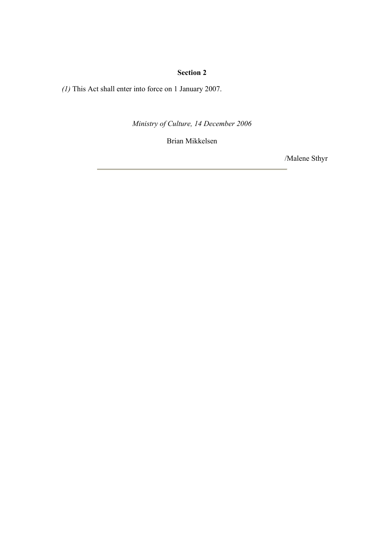# **Section 2**

*(1)* This Act shall enter into force on 1 January 2007.

*Ministry of Culture, 14 December 2006*

Brian Mikkelsen

/Malene Sthyr